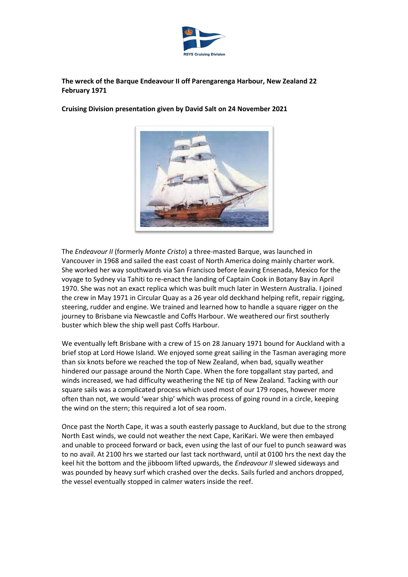

# **The wreck of the Barque Endeavour II off Parengarenga Harbour, New Zealand 22 February 1971**

**Cruising Division presentation given by David Salt on 24 November 2021**

The *Endeavour II* (formerly *Monte Cristo*) a three-masted Barque, was launched in Vancouver in 1968 and sailed the east coast of North America doing mainly charter work. She worked her way southwards via San Francisco before leaving Ensenada, Mexico for the voyage to Sydney via Tahiti to re-enact the landing of Captain Cook in Botany Bay in April 1970. She was not an exact replica which was built much later in Western Australia. I joined the crew in May 1971 in Circular Quay as a 26 year old deckhand helping refit, repair rigging, steering, rudder and engine. We trained and learned how to handle a square rigger on the journey to Brisbane via Newcastle and Coffs Harbour. We weathered our first southerly buster which blew the ship well past Coffs Harbour.

We eventually left Brisbane with a crew of 15 on 28 January 1971 bound for Auckland with a brief stop at Lord Howe Island. We enjoyed some great sailing in the Tasman averaging more than six knots before we reached the top of New Zealand, when bad, squally weather hindered our passage around the North Cape. When the fore topgallant stay parted, and winds increased, we had difficulty weathering the NE tip of New Zealand. Tacking with our square sails was a complicated process which used most of our 179 ropes, however more often than not, we would 'wear ship' which was process of going round in a circle, keeping the wind on the stern; this required a lot of sea room.

Once past the North Cape, it was a south easterly passage to Auckland, but due to the strong North East winds, we could not weather the next Cape, KariKari. We were then embayed and unable to proceed forward or back, even using the last of our fuel to punch seaward was to no avail. At 2100 hrs we started our last tack northward, until at 0100 hrs the next day the keel hit the bottom and the jibboom lifted upwards, the *Endeavour II* slewed sideways and was pounded by heavy surf which crashed over the decks. Sails furled and anchors dropped, the vessel eventually stopped in calmer waters inside the reef.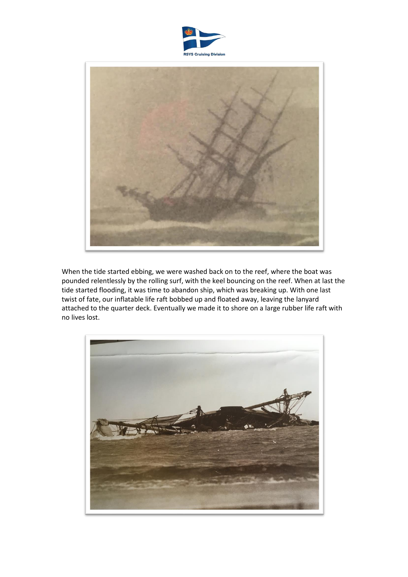



When the tide started ebbing, we were washed back on to the reef, where the boat was pounded relentlessly by the rolling surf, with the keel bouncing on the reef. When at last the tide started flooding, it was time to abandon ship, which was breaking up. With one last twist of fate, our inflatable life raft bobbed up and floated away, leaving the lanyard attached to the quarter deck. Eventually we made it to shore on a large rubber life raft with no lives lost.

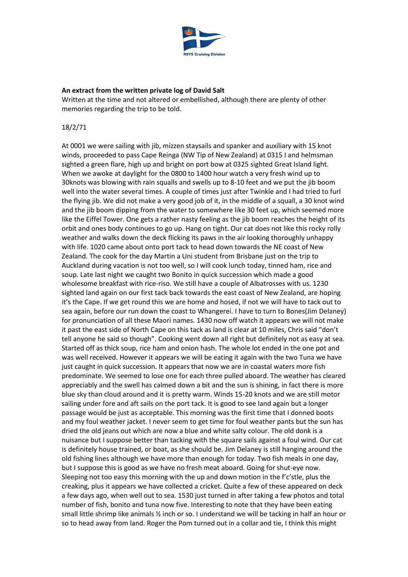

#### **An extract from the written private log of David Salt**

Written at the time and not altered or embellished, although there are plenty of other memories regarding the trip to be told.

#### 18/2/71

At 0001 we were sailing with jib, mizzen staysails and spanker and auxiliary with 15 knot winds, proceeded to pass Cape Reinga (NW Tip of New Zealand) at 0315 I and helmsman sighted a green flare, high up and bright on port bow at 0325 sighted Great Island light. When we awoke at daylight for the 0800 to 1400 hour watch a very fresh wind up to 30knots was blowing with rain squalls and swells up to 8-10 feet and we put the jib boom well into the water several times. A couple of times just after Twinkle and I had tried to furl the flying jib. We did not make a very good job of it, in the middle of a squall, a 30 knot wind and the jib boom dipping from the water to somewhere like 30 feet up, which seemed more like the Eiffel Tower. One gets a rather nasty feeling as the jib boom reaches the height of its orbit and ones body continues to go up. Hang on tight. Our cat does not like this rocky rolly weather and walks down the deck flicking its paws in the air looking thoroughly unhappy with life. 1020 came about onto port tack to head down towards the NE coast of New Zealand. The cook for the day Martin a Uni student from Brisbane just on the trip to Auckland during vacation is not too well, so I will cook lunch today, tinned ham, rice and soup. Late last night we caught two Bonito in quick succession which made a good wholesome breakfast with rice-riso. We still have a couple of Albatrosses with us. 1230 sighted land again on our first tack back towards the east coast of New Zealand, are hoping it's the Cape. If we get round this we are home and hosed, if not we will have to tack out to sea again, before our run down the coast to Whangerei. I have to turn to Bones(Jim Delaney) for pronunciation of all these Maori names. 1430 now off watch it appears we will not make it past the east side of North Cape on this tack as land is clear at 10 miles, Chris said "don't tell anyone he said so though". Cooking went down all right but definitely not as easy at sea. Started off as thick soup, rice ham and onion hash. The whole lot ended in the one pot and was well received. However it appears we will be eating it again with the two Tuna we have just caught in quick succession. It appears that now we are in coastal waters more fish predominate. We seemed to lose one for each three pulled aboard. The weather has cleared appreciably and the swell has calmed down a bit and the sun is shining, in fact there is more blue sky than cloud around and it is pretty warm. Winds 15-20 knots and we are still motor sailing under fore and aft sails on the port tack. It is good to see land again but a longer passage would be just as acceptable. This morning was the first time that I donned boots and my foul weather jacket. I never seem to get time for foul weather pants but the sun has dried the old jeans out which are now a blue and white salty colour. The old donk is a nuisance but I suppose better than tacking with the square sails against a foul wind. Our cat is definitely house trained, or boat, as she should be. Jim Delaney is still hanging around the old fishing lines although we have more than enough for today. Two fish meals in one day, but I suppose this is good as we have no fresh meat aboard. Going for shut-eye now. Sleeping not too easy this morning with the up and down motion in the f'c'stle, plus the creaking, plus it appears we have collected a cricket. Quite a few of these appeared on deck a few days ago, when well out to sea. 1530 just turned in after taking a few photos and total number of fish, bonito and tuna now five. Interesting to note that they have been eating small little shrimp like animals ½ inch or so. I understand we will be tacking in half an hour or so to head away from land. Roger the Pom turned out in a collar and tie, I think this might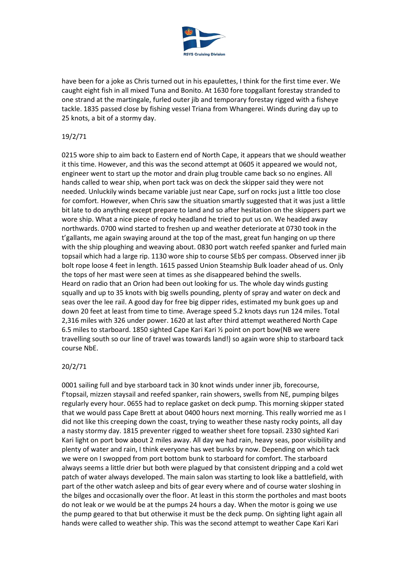

have been for a joke as Chris turned out in his epaulettes, I think for the first time ever. We caught eight fish in all mixed Tuna and Bonito. At 1630 fore topgallant forestay stranded to one strand at the martingale, furled outer jib and temporary forestay rigged with a fisheye tackle. 1835 passed close by fishing vessel Triana from Whangerei. Winds during day up to 25 knots, a bit of a stormy day.

## 19/2/71

0215 wore ship to aim back to Eastern end of North Cape, it appears that we should weather it this time. However, and this was the second attempt at 0605 it appeared we would not, engineer went to start up the motor and drain plug trouble came back so no engines. All hands called to wear ship, when port tack was on deck the skipper said they were not needed. Unluckily winds became variable just near Cape, surf on rocks just a little too close for comfort. However, when Chris saw the situation smartly suggested that it was just a little bit late to do anything except prepare to land and so after hesitation on the skippers part we wore ship. What a nice piece of rocky headland he tried to put us on. We headed away northwards. 0700 wind started to freshen up and weather deteriorate at 0730 took in the t'gallants, me again swaying around at the top of the mast, great fun hanging on up there with the ship ploughing and weaving about. 0830 port watch reefed spanker and furled main topsail which had a large rip. 1130 wore ship to course SEbS per compass. Observed inner jib bolt rope loose 4 feet in length. 1615 passed Union Steamship Bulk loader ahead of us. Only the tops of her mast were seen at times as she disappeared behind the swells. Heard on radio that an Orion had been out looking for us. The whole day winds gusting squally and up to 35 knots with big swells pounding, plenty of spray and water on deck and seas over the lee rail. A good day for free big dipper rides, estimated my bunk goes up and down 20 feet at least from time to time. Average speed 5.2 knots days run 124 miles. Total 2,316 miles with 326 under power. 1620 at last after third attempt weathered North Cape 6.5 miles to starboard. 1850 sighted Cape Kari Kari ½ point on port bow(NB we were travelling south so our line of travel was towards land!) so again wore ship to starboard tack course NbE.

## 20/2/71

0001 sailing full and bye starboard tack in 30 knot winds under inner jib, forecourse, f'topsail, mizzen staysail and reefed spanker, rain showers, swells from NE, pumping bilges regularly every hour. 0655 had to replace gasket on deck pump. This morning skipper stated that we would pass Cape Brett at about 0400 hours next morning. This really worried me as I did not like this creeping down the coast, trying to weather these nasty rocky points, all day a nasty stormy day. 1815 preventer rigged to weather sheet fore topsail. 2330 sighted Kari Kari light on port bow about 2 miles away. All day we had rain, heavy seas, poor visibility and plenty of water and rain, I think everyone has wet bunks by now. Depending on which tack we were on I swopped from port bottom bunk to starboard for comfort. The starboard always seems a little drier but both were plagued by that consistent dripping and a cold wet patch of water always developed. The main salon was starting to look like a battlefield, with part of the other watch asleep and bits of gear every where and of course water sloshing in the bilges and occasionally over the floor. At least in this storm the portholes and mast boots do not leak or we would be at the pumps 24 hours a day. When the motor is going we use the pump geared to that but otherwise it must be the deck pump. On sighting light again all hands were called to weather ship. This was the second attempt to weather Cape Kari Kari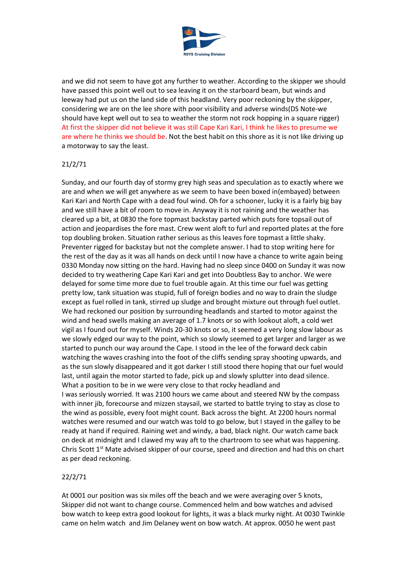

and we did not seem to have got any further to weather. According to the skipper we should have passed this point well out to sea leaving it on the starboard beam, but winds and leeway had put us on the land side of this headland. Very poor reckoning by the skipper, considering we are on the lee shore with poor visibility and adverse winds(DS Note-we should have kept well out to sea to weather the storm not rock hopping in a square rigger) At first the skipper did not believe it was still Cape Kari Kari, I think he likes to presume we are where he thinks we should be. Not the best habit on this shore as it is not like driving up a motorway to say the least.

# 21/2/71

Sunday, and our fourth day of stormy grey high seas and speculation as to exactly where we are and when we will get anywhere as we seem to have been boxed in(embayed) between Kari Kari and North Cape with a dead foul wind. Oh for a schooner, lucky it is a fairly big bay and we still have a bit of room to move in. Anyway it is not raining and the weather has cleared up a bit, at 0830 the fore topmast backstay parted which puts fore topsail out of action and jeopardises the fore mast. Crew went aloft to furl and reported plates at the fore top doubling broken. Situation rather serious as this leaves fore topmast a little shaky. Preventer rigged for backstay but not the complete answer. I had to stop writing here for the rest of the day as it was all hands on deck until I now have a chance to write again being 0330 Monday now sitting on the hard. Having had no sleep since 0400 on Sunday it was now decided to try weathering Cape Kari Kari and get into Doubtless Bay to anchor. We were delayed for some time more due to fuel trouble again. At this time our fuel was getting pretty low, tank situation was stupid, full of foreign bodies and no way to drain the sludge except as fuel rolled in tank, stirred up sludge and brought mixture out through fuel outlet. We had reckoned our position by surrounding headlands and started to motor against the wind and head swells making an average of 1.7 knots or so with lookout aloft, a cold wet vigil as I found out for myself. Winds 20-30 knots or so, it seemed a very long slow labour as we slowly edged our way to the point, which so slowly seemed to get larger and larger as we started to punch our way around the Cape. I stood in the lee of the forward deck cabin watching the waves crashing into the foot of the cliffs sending spray shooting upwards, and as the sun slowly disappeared and it got darker I still stood there hoping that our fuel would last, until again the motor started to fade, pick up and slowly splutter into dead silence. What a position to be in we were very close to that rocky headland and I was seriously worried. It was 2100 hours we came about and steered NW by the compass with inner jib, forecourse and mizzen staysail, we started to battle trying to stay as close to the wind as possible, every foot might count. Back across the bight. At 2200 hours normal watches were resumed and our watch was told to go below, but I stayed in the galley to be ready at hand if required. Raining wet and windy, a bad, black night. Our watch came back on deck at midnight and I clawed my way aft to the chartroom to see what was happening. Chris Scott 1<sup>st</sup> Mate advised skipper of our course, speed and direction and had this on chart as per dead reckoning.

## 22/2/71

At 0001 our position was six miles off the beach and we were averaging over 5 knots, Skipper did not want to change course. Commenced helm and bow watches and advised bow watch to keep extra good lookout for lights, it was a black murky night. At 0030 Twinkle came on helm watch and Jim Delaney went on bow watch. At approx. 0050 he went past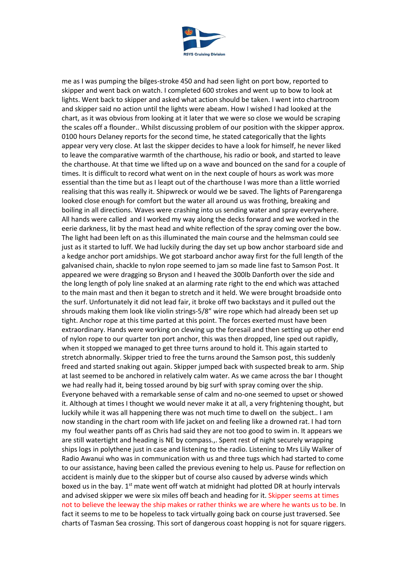

me as I was pumping the bilges-stroke 450 and had seen light on port bow, reported to skipper and went back on watch. I completed 600 strokes and went up to bow to look at lights. Went back to skipper and asked what action should be taken. I went into chartroom and skipper said no action until the lights were abeam. How I wished I had looked at the chart, as it was obvious from looking at it later that we were so close we would be scraping the scales off a flounder.. Whilst discussing problem of our position with the skipper approx. 0100 hours Delaney reports for the second time, he stated categorically that the lights appear very very close. At last the skipper decides to have a look for himself, he never liked to leave the comparative warmth of the charthouse, his radio or book, and started to leave the charthouse. At that time we lifted up on a wave and bounced on the sand for a couple of times. It is difficult to record what went on in the next couple of hours as work was more essential than the time but as I leapt out of the charthouse I was more than a little worried realising that this was really it. Shipwreck or would we be saved. The lights of Parengarenga looked close enough for comfort but the water all around us was frothing, breaking and boiling in all directions. Waves were crashing into us sending water and spray everywhere. All hands were called and I worked my way along the decks forward and we worked in the eerie darkness, lit by the mast head and white reflection of the spray coming over the bow. The light had been left on as this illuminated the main course and the helmsman could see just as it started to luff. We had luckily during the day set up bow anchor starboard side and a kedge anchor port amidships. We got starboard anchor away first for the full length of the galvanised chain, shackle to nylon rope seemed to jam so made line fast to Samson Post. It appeared we were dragging so Bryson and I heaved the 300lb Danforth over the side and the long length of poly line snaked at an alarming rate right to the end which was attached to the main mast and then it began to stretch and it held. We were brought broadside onto the surf. Unfortunately it did not lead fair, it broke off two backstays and it pulled out the shrouds making them look like violin strings-5/8" wire rope which had already been set up tight. Anchor rope at this time parted at this point. The forces exerted must have been extraordinary. Hands were working on clewing up the foresail and then setting up other end of nylon rope to our quarter ton port anchor, this was then dropped, line sped out rapidly, when it stopped we managed to get three turns around to hold it. This again started to stretch abnormally. Skipper tried to free the turns around the Samson post, this suddenly freed and started snaking out again. Skipper jumped back with suspected break to arm. Ship at last seemed to be anchored in relatively calm water. As we came across the bar I thought we had really had it, being tossed around by big surf with spray coming over the ship. Everyone behaved with a remarkable sense of calm and no-one seemed to upset or showed it. Although at times I thought we would never make it at all, a very frightening thought, but luckily while it was all happening there was not much time to dwell on the subject.. I am now standing in the chart room with life jacket on and feeling like a drowned rat. I had torn my foul weather pants off as Chris had said they are not too good to swim in. It appears we are still watertight and heading is NE by compass.,. Spent rest of night securely wrapping ships logs in polythene just in case and listening to the radio. Listening to Mrs Lily Walker of Radio Awanui who was in communication with us and three tugs which had started to come to our assistance, having been called the previous evening to help us. Pause for reflection on accident is mainly due to the skipper but of course also caused by adverse winds which boxed us in the bay.  $1<sup>st</sup>$  mate went off watch at midnight had plotted DR at hourly intervals and advised skipper we were six miles off beach and heading for it. Skipper seems at times not to believe the leeway the ship makes or rather thinks we are where he wants us to be. In fact it seems to me to be hopeless to tack virtually going back on course just traversed. See charts of Tasman Sea crossing. This sort of dangerous coast hopping is not for square riggers.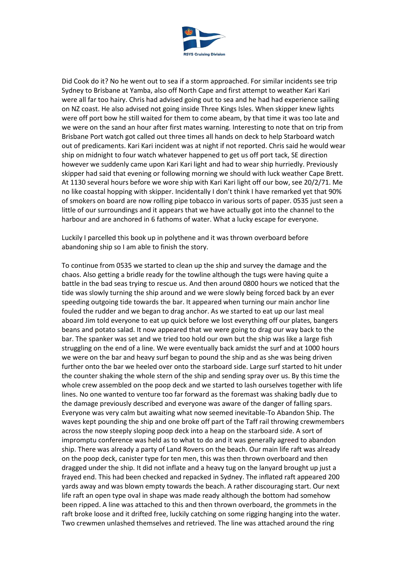

Did Cook do it? No he went out to sea if a storm approached. For similar incidents see trip Sydney to Brisbane at Yamba, also off North Cape and first attempt to weather Kari Kari were all far too hairy. Chris had advised going out to sea and he had had experience sailing on NZ coast. He also advised not going inside Three Kings Isles. When skipper knew lights were off port bow he still waited for them to come abeam, by that time it was too late and we were on the sand an hour after first mates warning. Interesting to note that on trip from Brisbane Port watch got called out three times all hands on deck to help Starboard watch out of predicaments. Kari Kari incident was at night if not reported. Chris said he would wear ship on midnight to four watch whatever happened to get us off port tack, SE direction however we suddenly came upon Kari Kari light and had to wear ship hurriedly. Previously skipper had said that evening or following morning we should with luck weather Cape Brett. At 1130 several hours before we wore ship with Kari Kari light off our bow, see 20/2/71. Me no like coastal hopping with skipper. Incidentally I don't think I have remarked yet that 90% of smokers on board are now rolling pipe tobacco in various sorts of paper. 0535 just seen a little of our surroundings and it appears that we have actually got into the channel to the harbour and are anchored in 6 fathoms of water. What a lucky escape for everyone.

Luckily I parcelled this book up in polythene and it was thrown overboard before abandoning ship so I am able to finish the story.

To continue from 0535 we started to clean up the ship and survey the damage and the chaos. Also getting a bridle ready for the towline although the tugs were having quite a battle in the bad seas trying to rescue us. And then around 0800 hours we noticed that the tide was slowly turning the ship around and we were slowly being forced back by an ever speeding outgoing tide towards the bar. It appeared when turning our main anchor line fouled the rudder and we began to drag anchor. As we started to eat up our last meal aboard Jim told everyone to eat up quick before we lost everything off our plates, bangers beans and potato salad. It now appeared that we were going to drag our way back to the bar. The spanker was set and we tried too hold our own but the ship was like a large fish struggling on the end of a line. We were eventually back amidst the surf and at 1000 hours we were on the bar and heavy surf began to pound the ship and as she was being driven further onto the bar we heeled over onto the starboard side. Large surf started to hit under the counter shaking the whole stern of the ship and sending spray over us. By this time the whole crew assembled on the poop deck and we started to lash ourselves together with life lines. No one wanted to venture too far forward as the foremast was shaking badly due to the damage previously described and everyone was aware of the danger of falling spars. Everyone was very calm but awaiting what now seemed inevitable-To Abandon Ship. The waves kept pounding the ship and one broke off part of the Taff rail throwing crewmembers across the now steeply sloping poop deck into a heap on the starboard side. A sort of impromptu conference was held as to what to do and it was generally agreed to abandon ship. There was already a party of Land Rovers on the beach. Our main life raft was already on the poop deck, canister type for ten men, this was then thrown overboard and then dragged under the ship. It did not inflate and a heavy tug on the lanyard brought up just a frayed end. This had been checked and repacked in Sydney. The inflated raft appeared 200 yards away and was blown empty towards the beach. A rather discouraging start. Our next life raft an open type oval in shape was made ready although the bottom had somehow been ripped. A line was attached to this and then thrown overboard, the grommets in the raft broke loose and it drifted free, luckily catching on some rigging hanging into the water. Two crewmen unlashed themselves and retrieved. The line was attached around the ring